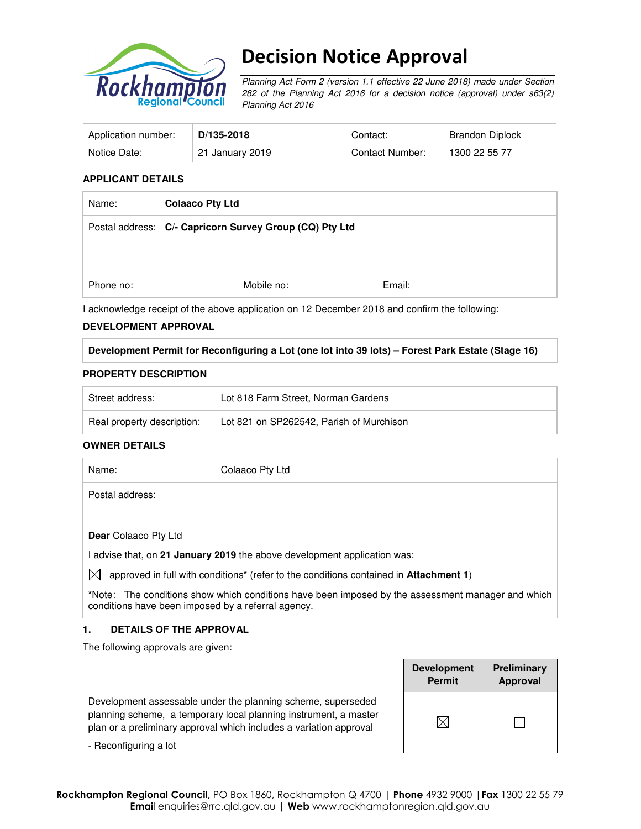

# Decision Notice Approval

Planning Act Form 2 (version 1.1 effective 22 June 2018) made under Section 282 of the Planning Act 2016 for a decision notice (approval) under s63(2) Planning Act 2016

| Application number: | D/135-2018      | Contact:        | Brandon Diplock |
|---------------------|-----------------|-----------------|-----------------|
| Notice Date:        | 21 January 2019 | Contact Number: | 1300 22 55 77   |

## **APPLICANT DETAILS**

| <b>Colaaco Pty Ltd</b> |                                                         |  |
|------------------------|---------------------------------------------------------|--|
|                        |                                                         |  |
|                        |                                                         |  |
|                        |                                                         |  |
| Mobile no:             | Email:                                                  |  |
|                        | Postal address: C/- Capricorn Survey Group (CQ) Pty Ltd |  |

I acknowledge receipt of the above application on 12 December 2018 and confirm the following:

#### **DEVELOPMENT APPROVAL**

## **Development Permit for Reconfiguring a Lot (one lot into 39 lots) – Forest Park Estate (Stage 16)**

#### **PROPERTY DESCRIPTION**

| Street address:            | Lot 818 Farm Street, Norman Gardens      |
|----------------------------|------------------------------------------|
| Real property description: | Lot 821 on SP262542, Parish of Murchison |

#### **OWNER DETAILS**

| Name:                       | Colaaco Pty Ltd                                                        |
|-----------------------------|------------------------------------------------------------------------|
| Postal address:             |                                                                        |
|                             |                                                                        |
| <b>Dear</b> Colaaco Pty Ltd |                                                                        |
|                             | advise that, on 21 January 2019 the above development application was: |

 $\boxtimes$  approved in full with conditions<sup>\*</sup> (refer to the conditions contained in **Attachment 1**)

**\***Note:The conditions show which conditions have been imposed by the assessment manager and which conditions have been imposed by a referral agency.

#### **1. DETAILS OF THE APPROVAL**

The following approvals are given:

|                                                                                                                                                                                                        | <b>Development</b><br><b>Permit</b> | <b>Preliminary</b><br>Approval |
|--------------------------------------------------------------------------------------------------------------------------------------------------------------------------------------------------------|-------------------------------------|--------------------------------|
| Development assessable under the planning scheme, superseded<br>planning scheme, a temporary local planning instrument, a master<br>plan or a preliminary approval which includes a variation approval | IX                                  |                                |
| - Reconfiguring a lot                                                                                                                                                                                  |                                     |                                |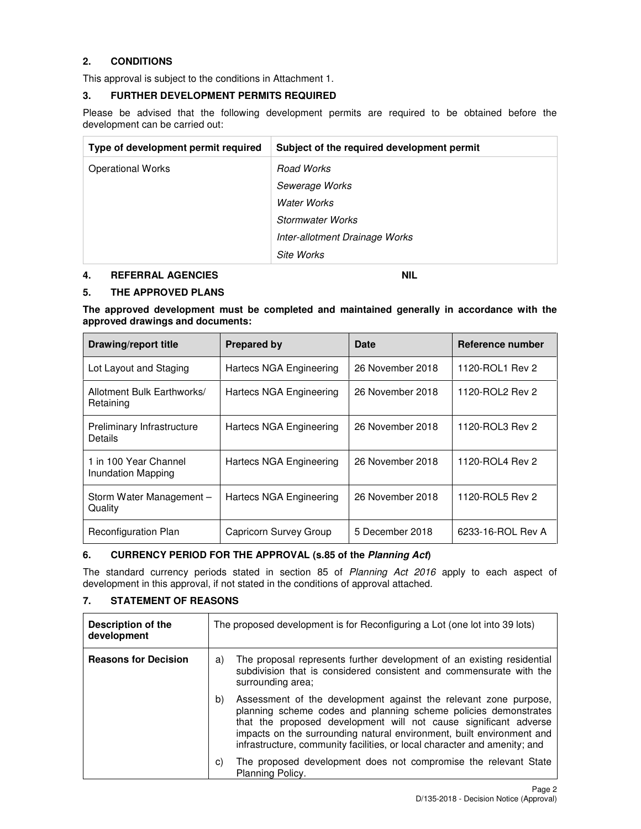## **2. CONDITIONS**

This approval is subject to the conditions in Attachment 1.

## **3. FURTHER DEVELOPMENT PERMITS REQUIRED**

Please be advised that the following development permits are required to be obtained before the development can be carried out:

| Type of development permit required | Subject of the required development permit |
|-------------------------------------|--------------------------------------------|
| <b>Operational Works</b>            | Road Works                                 |
|                                     | Sewerage Works                             |
|                                     | Water Works                                |
|                                     | Stormwater Works                           |
|                                     | Inter-allotment Drainage Works             |
|                                     | Site Works                                 |

## **4. REFERRAL AGENCIES NIL**

#### **5. THE APPROVED PLANS**

**The approved development must be completed and maintained generally in accordance with the approved drawings and documents:** 

| Drawing/report title                        | <b>Prepared by</b>                          | Date             | Reference number  |
|---------------------------------------------|---------------------------------------------|------------------|-------------------|
| Lot Layout and Staging                      | Hartecs NGA Engineering                     | 26 November 2018 | 1120-ROL1 Rev 2   |
| Allotment Bulk Earthworks/<br>Retaining     | 26 November 2018<br>Hartecs NGA Engineering |                  | 1120-ROL2 Rev 2   |
| Preliminary Infrastructure<br>Details       | Hartecs NGA Engineering                     | 26 November 2018 | 1120-ROL3 Rev 2   |
| 1 in 100 Year Channel<br>Inundation Mapping | Hartecs NGA Engineering                     | 26 November 2018 | 1120-ROL4 Rev 2   |
| Storm Water Management -<br>Quality         | Hartecs NGA Engineering                     | 26 November 2018 | 1120-ROL5 Rev 2   |
| <b>Reconfiguration Plan</b>                 | Capricorn Survey Group                      | 5 December 2018  | 6233-16-ROL Rev A |

## **6. CURRENCY PERIOD FOR THE APPROVAL (s.85 of the Planning Act)**

The standard currency periods stated in section 85 of Planning Act 2016 apply to each aspect of development in this approval, if not stated in the conditions of approval attached.

## **7. STATEMENT OF REASONS**

| Description of the<br>development | The proposed development is for Reconfiguring a Lot (one lot into 39 lots) |                                                                                                                                                                                                                                                                                                                                                               |
|-----------------------------------|----------------------------------------------------------------------------|---------------------------------------------------------------------------------------------------------------------------------------------------------------------------------------------------------------------------------------------------------------------------------------------------------------------------------------------------------------|
| <b>Reasons for Decision</b>       | a)                                                                         | The proposal represents further development of an existing residential<br>subdivision that is considered consistent and commensurate with the<br>surrounding area:                                                                                                                                                                                            |
|                                   | b)                                                                         | Assessment of the development against the relevant zone purpose,<br>planning scheme codes and planning scheme policies demonstrates<br>that the proposed development will not cause significant adverse<br>impacts on the surrounding natural environment, built environment and<br>infrastructure, community facilities, or local character and amenity; and |
|                                   | C)                                                                         | The proposed development does not compromise the relevant State<br>Planning Policy.                                                                                                                                                                                                                                                                           |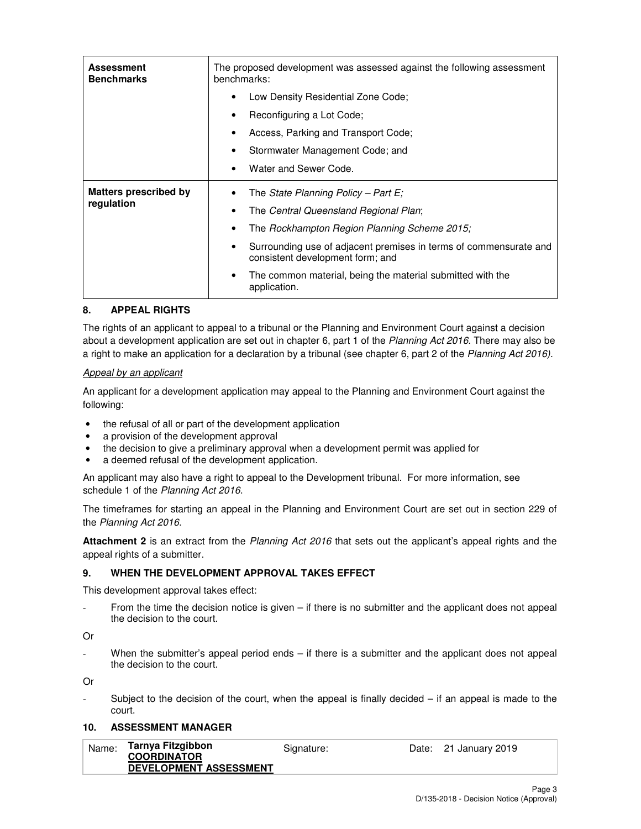| <b>Assessment</b><br><b>Benchmarks</b> | The proposed development was assessed against the following assessment<br>benchmarks:                 |  |  |
|----------------------------------------|-------------------------------------------------------------------------------------------------------|--|--|
|                                        | Low Density Residential Zone Code;                                                                    |  |  |
|                                        | Reconfiguring a Lot Code;                                                                             |  |  |
|                                        | Access, Parking and Transport Code;                                                                   |  |  |
|                                        | Stormwater Management Code; and                                                                       |  |  |
|                                        | Water and Sewer Code.                                                                                 |  |  |
| <b>Matters prescribed by</b>           | The State Planning Policy – Part E;                                                                   |  |  |
| regulation                             | The Central Queensland Regional Plan;                                                                 |  |  |
|                                        | The Rockhampton Region Planning Scheme 2015;                                                          |  |  |
|                                        | Surrounding use of adjacent premises in terms of commensurate and<br>consistent development form; and |  |  |
|                                        | The common material, being the material submitted with the<br>application.                            |  |  |

## **8. APPEAL RIGHTS**

The rights of an applicant to appeal to a tribunal or the Planning and Environment Court against a decision about a development application are set out in chapter 6, part 1 of the Planning Act 2016. There may also be a right to make an application for a declaration by a tribunal (see chapter 6, part 2 of the Planning Act 2016).

#### Appeal by an applicant

An applicant for a development application may appeal to the Planning and Environment Court against the following:

- the refusal of all or part of the development application
- a provision of the development approval
- the decision to give a preliminary approval when a development permit was applied for<br>• a deemed refusal of the development application
- a deemed refusal of the development application.

An applicant may also have a right to appeal to the Development tribunal. For more information, see schedule 1 of the Planning Act 2016.

The timeframes for starting an appeal in the Planning and Environment Court are set out in section 229 of the Planning Act 2016.

**Attachment 2** is an extract from the Planning Act 2016 that sets out the applicant's appeal rights and the appeal rights of a submitter.

## **9. WHEN THE DEVELOPMENT APPROVAL TAKES EFFECT**

This development approval takes effect:

From the time the decision notice is given – if there is no submitter and the applicant does not appeal the decision to the court.

Or

When the submitter's appeal period ends  $-$  if there is a submitter and the applicant does not appeal the decision to the court.

Or

Subject to the decision of the court, when the appeal is finally decided  $-$  if an appeal is made to the court.

## **10. ASSESSMENT MANAGER**

| Name: | Tarnya Fitzgibbon<br><b>COORDINATOR</b> | Signature: | Date: 21 January 2019 |
|-------|-----------------------------------------|------------|-----------------------|
|       | <b>DEVELOPMENT ASSESSMENT</b>           |            |                       |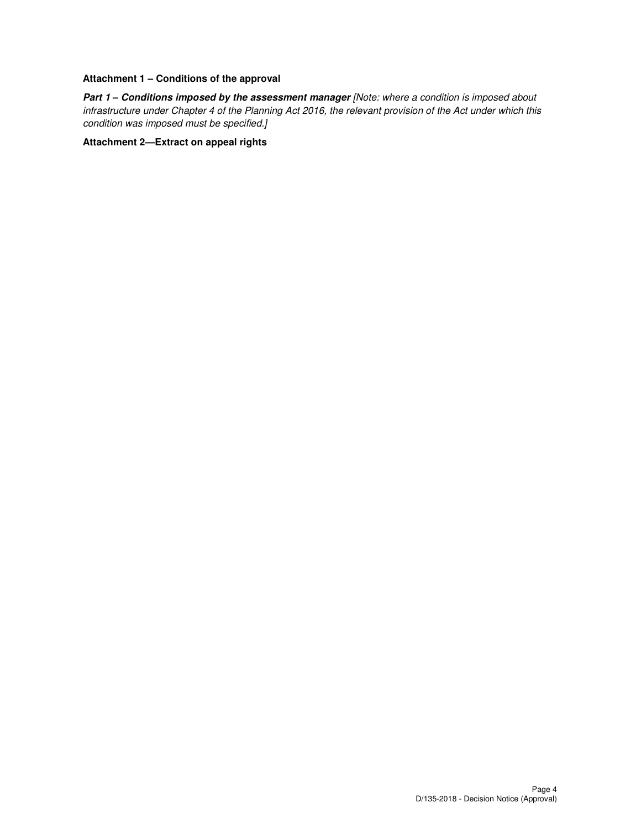## **Attachment 1 – Conditions of the approval**

Part 1 - Conditions imposed by the assessment manager [Note: where a condition is imposed about infrastructure under Chapter 4 of the Planning Act 2016, the relevant provision of the Act under which this condition was imposed must be specified.]

#### **Attachment 2—Extract on appeal rights**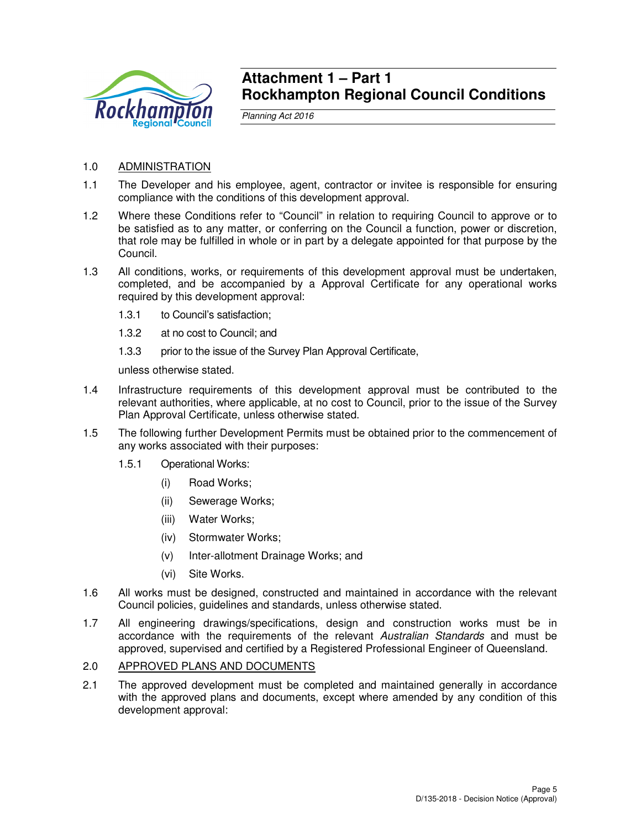

## **Attachment 1 – Part 1 Rockhampton Regional Council Conditions**

Planning Act 2016

## 1.0 ADMINISTRATION

- 1.1 The Developer and his employee, agent, contractor or invitee is responsible for ensuring compliance with the conditions of this development approval.
- 1.2 Where these Conditions refer to "Council" in relation to requiring Council to approve or to be satisfied as to any matter, or conferring on the Council a function, power or discretion, that role may be fulfilled in whole or in part by a delegate appointed for that purpose by the Council.
- 1.3 All conditions, works, or requirements of this development approval must be undertaken, completed, and be accompanied by a Approval Certificate for any operational works required by this development approval:
	- 1.3.1 to Council's satisfaction;
	- 1.3.2 at no cost to Council; and
	- 1.3.3 prior to the issue of the Survey Plan Approval Certificate,

unless otherwise stated.

- 1.4 Infrastructure requirements of this development approval must be contributed to the relevant authorities, where applicable, at no cost to Council, prior to the issue of the Survey Plan Approval Certificate, unless otherwise stated.
- 1.5 The following further Development Permits must be obtained prior to the commencement of any works associated with their purposes:
	- 1.5.1 Operational Works:
		- (i) Road Works;
		- (ii) Sewerage Works;
		- (iii) Water Works;
		- (iv) Stormwater Works;
		- (v) Inter-allotment Drainage Works; and
		- (vi) Site Works.
- 1.6 All works must be designed, constructed and maintained in accordance with the relevant Council policies, guidelines and standards, unless otherwise stated.
- 1.7 All engineering drawings/specifications, design and construction works must be in accordance with the requirements of the relevant Australian Standards and must be approved, supervised and certified by a Registered Professional Engineer of Queensland.

## 2.0 APPROVED PLANS AND DOCUMENTS

2.1 The approved development must be completed and maintained generally in accordance with the approved plans and documents, except where amended by any condition of this development approval: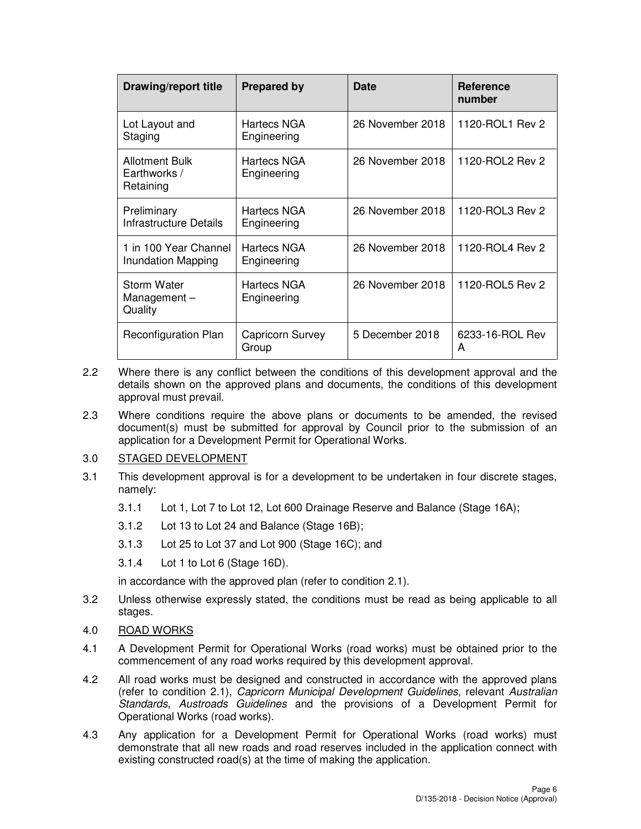| Drawing/report title                               | <b>Prepared by</b>               | Date             | <b>Reference</b><br>number |
|----------------------------------------------------|----------------------------------|------------------|----------------------------|
| Lot Layout and<br>Staging                          | Hartecs NGA<br>Engineering       | 26 November 2018 | 1120-ROL1 Rev 2            |
| <b>Allotment Bulk</b><br>Earthworks /<br>Retaining | Hartecs NGA<br>Engineering       | 26 November 2018 | 1120-ROL2 Rev 2            |
| Preliminary<br>Infrastructure Details              | Hartecs NGA<br>Engineering       | 26 November 2018 | 1120-ROL3 Rev 2            |
| 1 in 100 Year Channel<br>Inundation Mapping        | Hartecs NGA<br>Engineering       | 26 November 2018 | 1120-ROL4 Rev 2            |
| Storm Water<br>Management-<br>Quality              | Hartecs NGA<br>Engineering       | 26 November 2018 | 1120-ROL5 Rev 2            |
| Reconfiguration Plan                               | <b>Capricorn Survey</b><br>Group | 5 December 2018  | 6233-16-ROL Rev<br>A       |

- 2.2 Where there is any conflict between the conditions of this development approval and the details shown on the approved plans and documents, the conditions of this development approval must prevail.
- 2.3 Where conditions require the above plans or documents to be amended, the revised document(s) must be submitted for approval by Council prior to the submission of an application for a Development Permit for Operational Works.

## 3.0 STAGED DEVELOPMENT

- 3.1 This development approval is for a development to be undertaken in four discrete stages, namely:
	- 3.1.1 Lot 1, Lot 7 to Lot 12, Lot 600 Drainage Reserve and Balance (Stage 16A);
	- 3.1.2 Lot 13 to Lot 24 and Balance (Stage 16B);
	- 3.1.3 Lot 25 to Lot 37 and Lot 900 (Stage 16C); and
	- 3.1.4 Lot 1 to Lot 6 (Stage 16D).

in accordance with the approved plan (refer to condition 2.1).

- 3.2 Unless otherwise expressly stated, the conditions must be read as being applicable to all stages.
- 4.0 ROAD WORKS
- 4.1 A Development Permit for Operational Works (road works) must be obtained prior to the commencement of any road works required by this development approval.
- 4.2 All road works must be designed and constructed in accordance with the approved plans (refer to condition 2.1), Capricorn Municipal Development Guidelines, relevant Australian Standards, Austroads Guidelines and the provisions of a Development Permit for Operational Works (road works).
- 4.3 Any application for a Development Permit for Operational Works (road works) must demonstrate that all new roads and road reserves included in the application connect with existing constructed road(s) at the time of making the application.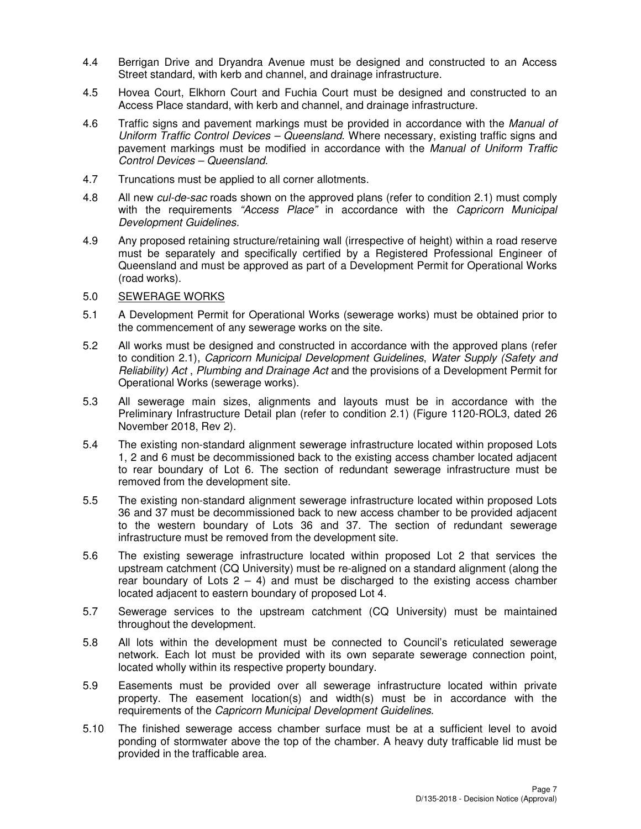- 4.4 Berrigan Drive and Dryandra Avenue must be designed and constructed to an Access Street standard, with kerb and channel, and drainage infrastructure.
- 4.5 Hovea Court, Elkhorn Court and Fuchia Court must be designed and constructed to an Access Place standard, with kerb and channel, and drainage infrastructure.
- 4.6 Traffic signs and pavement markings must be provided in accordance with the Manual of Uniform Traffic Control Devices – Queensland. Where necessary, existing traffic signs and pavement markings must be modified in accordance with the Manual of Uniform Traffic Control Devices – Queensland.
- 4.7 Truncations must be applied to all corner allotments.
- 4.8 All new *cul-de-sac* roads shown on the approved plans (refer to condition 2.1) must comply with the requirements "Access Place" in accordance with the Capricorn Municipal Development Guidelines.
- 4.9 Any proposed retaining structure/retaining wall (irrespective of height) within a road reserve must be separately and specifically certified by a Registered Professional Engineer of Queensland and must be approved as part of a Development Permit for Operational Works (road works).

## 5.0 SEWERAGE WORKS

- 5.1 A Development Permit for Operational Works (sewerage works) must be obtained prior to the commencement of any sewerage works on the site.
- 5.2 All works must be designed and constructed in accordance with the approved plans (refer to condition 2.1), Capricorn Municipal Development Guidelines, Water Supply (Safety and Reliability) Act , Plumbing and Drainage Act and the provisions of a Development Permit for Operational Works (sewerage works).
- 5.3 All sewerage main sizes, alignments and layouts must be in accordance with the Preliminary Infrastructure Detail plan (refer to condition 2.1) (Figure 1120-ROL3, dated 26 November 2018, Rev 2).
- 5.4 The existing non-standard alignment sewerage infrastructure located within proposed Lots 1, 2 and 6 must be decommissioned back to the existing access chamber located adjacent to rear boundary of Lot 6. The section of redundant sewerage infrastructure must be removed from the development site.
- 5.5 The existing non-standard alignment sewerage infrastructure located within proposed Lots 36 and 37 must be decommissioned back to new access chamber to be provided adjacent to the western boundary of Lots 36 and 37. The section of redundant sewerage infrastructure must be removed from the development site.
- 5.6 The existing sewerage infrastructure located within proposed Lot 2 that services the upstream catchment (CQ University) must be re-aligned on a standard alignment (along the rear boundary of Lots  $2 - 4$ ) and must be discharged to the existing access chamber located adjacent to eastern boundary of proposed Lot 4.
- 5.7 Sewerage services to the upstream catchment (CQ University) must be maintained throughout the development.
- 5.8 All lots within the development must be connected to Council's reticulated sewerage network. Each lot must be provided with its own separate sewerage connection point, located wholly within its respective property boundary.
- 5.9 Easements must be provided over all sewerage infrastructure located within private property. The easement location(s) and width(s) must be in accordance with the requirements of the Capricorn Municipal Development Guidelines.
- 5.10 The finished sewerage access chamber surface must be at a sufficient level to avoid ponding of stormwater above the top of the chamber. A heavy duty trafficable lid must be provided in the trafficable area.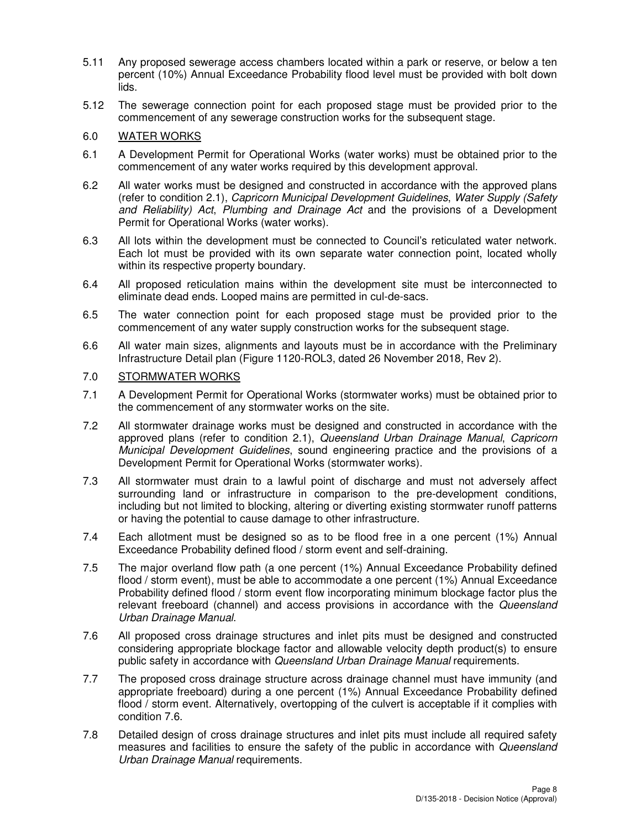- 5.11 Any proposed sewerage access chambers located within a park or reserve, or below a ten percent (10%) Annual Exceedance Probability flood level must be provided with bolt down lids.
- 5.12 The sewerage connection point for each proposed stage must be provided prior to the commencement of any sewerage construction works for the subsequent stage.

## 6.0 WATER WORKS

- 6.1 A Development Permit for Operational Works (water works) must be obtained prior to the commencement of any water works required by this development approval.
- 6.2 All water works must be designed and constructed in accordance with the approved plans (refer to condition 2.1), Capricorn Municipal Development Guidelines, Water Supply (Safety and Reliability) Act, Plumbing and Drainage Act and the provisions of a Development Permit for Operational Works (water works).
- 6.3 All lots within the development must be connected to Council's reticulated water network. Each lot must be provided with its own separate water connection point, located wholly within its respective property boundary.
- 6.4 All proposed reticulation mains within the development site must be interconnected to eliminate dead ends. Looped mains are permitted in cul-de-sacs.
- 6.5 The water connection point for each proposed stage must be provided prior to the commencement of any water supply construction works for the subsequent stage.
- 6.6 All water main sizes, alignments and layouts must be in accordance with the Preliminary Infrastructure Detail plan (Figure 1120-ROL3, dated 26 November 2018, Rev 2).

## 7.0 STORMWATER WORKS

- 7.1 A Development Permit for Operational Works (stormwater works) must be obtained prior to the commencement of any stormwater works on the site.
- 7.2 All stormwater drainage works must be designed and constructed in accordance with the approved plans (refer to condition 2.1), Queensland Urban Drainage Manual, Capricorn Municipal Development Guidelines, sound engineering practice and the provisions of a Development Permit for Operational Works (stormwater works).
- 7.3 All stormwater must drain to a lawful point of discharge and must not adversely affect surrounding land or infrastructure in comparison to the pre-development conditions, including but not limited to blocking, altering or diverting existing stormwater runoff patterns or having the potential to cause damage to other infrastructure.
- 7.4 Each allotment must be designed so as to be flood free in a one percent (1%) Annual Exceedance Probability defined flood / storm event and self-draining.
- 7.5 The major overland flow path (a one percent (1%) Annual Exceedance Probability defined flood / storm event), must be able to accommodate a one percent (1%) Annual Exceedance Probability defined flood / storm event flow incorporating minimum blockage factor plus the relevant freeboard (channel) and access provisions in accordance with the Queensland Urban Drainage Manual.
- 7.6 All proposed cross drainage structures and inlet pits must be designed and constructed considering appropriate blockage factor and allowable velocity depth product(s) to ensure public safety in accordance with Queensland Urban Drainage Manual requirements.
- 7.7 The proposed cross drainage structure across drainage channel must have immunity (and appropriate freeboard) during a one percent (1%) Annual Exceedance Probability defined flood / storm event. Alternatively, overtopping of the culvert is acceptable if it complies with condition 7.6.
- 7.8 Detailed design of cross drainage structures and inlet pits must include all required safety measures and facilities to ensure the safety of the public in accordance with Queensland Urban Drainage Manual requirements.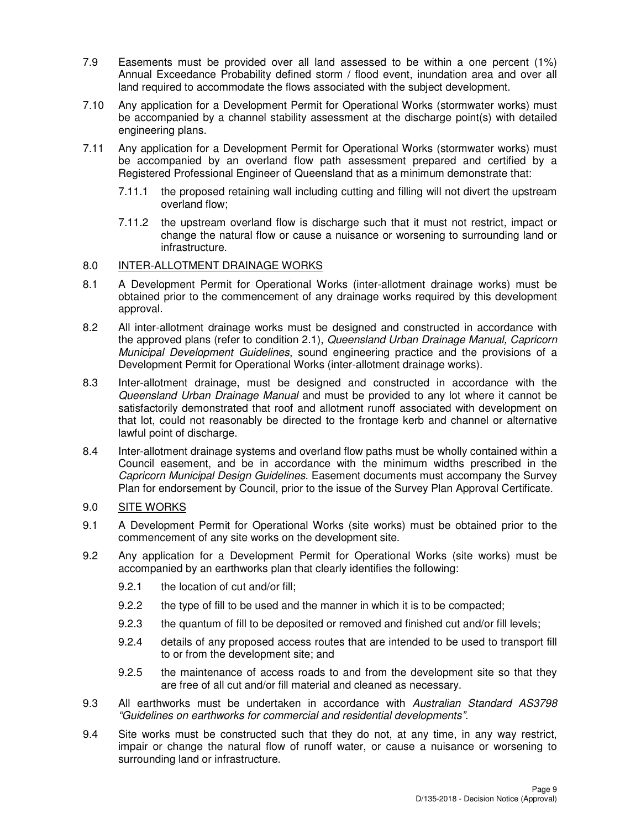- 7.9 Easements must be provided over all land assessed to be within a one percent (1%) Annual Exceedance Probability defined storm / flood event, inundation area and over all land required to accommodate the flows associated with the subject development.
- 7.10 Any application for a Development Permit for Operational Works (stormwater works) must be accompanied by a channel stability assessment at the discharge point(s) with detailed engineering plans.
- 7.11 Any application for a Development Permit for Operational Works (stormwater works) must be accompanied by an overland flow path assessment prepared and certified by a Registered Professional Engineer of Queensland that as a minimum demonstrate that:
	- 7.11.1 the proposed retaining wall including cutting and filling will not divert the upstream overland flow;
	- 7.11.2 the upstream overland flow is discharge such that it must not restrict, impact or change the natural flow or cause a nuisance or worsening to surrounding land or infrastructure.

## 8.0 INTER-ALLOTMENT DRAINAGE WORKS

- 8.1 A Development Permit for Operational Works (inter-allotment drainage works) must be obtained prior to the commencement of any drainage works required by this development approval.
- 8.2 All inter-allotment drainage works must be designed and constructed in accordance with the approved plans (refer to condition 2.1), Queensland Urban Drainage Manual, Capricorn Municipal Development Guidelines, sound engineering practice and the provisions of a Development Permit for Operational Works (inter-allotment drainage works).
- 8.3 Inter-allotment drainage, must be designed and constructed in accordance with the Queensland Urban Drainage Manual and must be provided to any lot where it cannot be satisfactorily demonstrated that roof and allotment runoff associated with development on that lot, could not reasonably be directed to the frontage kerb and channel or alternative lawful point of discharge.
- 8.4 Inter-allotment drainage systems and overland flow paths must be wholly contained within a Council easement, and be in accordance with the minimum widths prescribed in the Capricorn Municipal Design Guidelines. Easement documents must accompany the Survey Plan for endorsement by Council, prior to the issue of the Survey Plan Approval Certificate.

## 9.0 SITE WORKS

- 9.1 A Development Permit for Operational Works (site works) must be obtained prior to the commencement of any site works on the development site.
- 9.2 Any application for a Development Permit for Operational Works (site works) must be accompanied by an earthworks plan that clearly identifies the following:
	- 9.2.1 the location of cut and/or fill;
	- 9.2.2 the type of fill to be used and the manner in which it is to be compacted;
	- 9.2.3 the quantum of fill to be deposited or removed and finished cut and/or fill levels;
	- 9.2.4 details of any proposed access routes that are intended to be used to transport fill to or from the development site; and
	- 9.2.5 the maintenance of access roads to and from the development site so that they are free of all cut and/or fill material and cleaned as necessary.
- 9.3 All earthworks must be undertaken in accordance with Australian Standard AS3798 "Guidelines on earthworks for commercial and residential developments".
- 9.4 Site works must be constructed such that they do not, at any time, in any way restrict, impair or change the natural flow of runoff water, or cause a nuisance or worsening to surrounding land or infrastructure.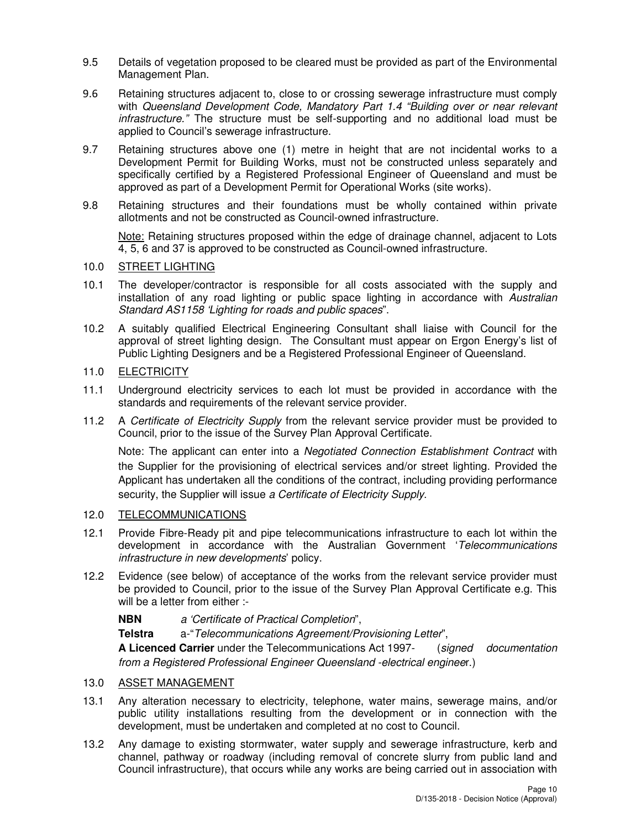- 9.5 Details of vegetation proposed to be cleared must be provided as part of the Environmental Management Plan.
- 9.6 Retaining structures adjacent to, close to or crossing sewerage infrastructure must comply with Queensland Development Code, Mandatory Part 1.4 "Building over or near relevant infrastructure." The structure must be self-supporting and no additional load must be applied to Council's sewerage infrastructure.
- 9.7 Retaining structures above one (1) metre in height that are not incidental works to a Development Permit for Building Works, must not be constructed unless separately and specifically certified by a Registered Professional Engineer of Queensland and must be approved as part of a Development Permit for Operational Works (site works).
- 9.8 Retaining structures and their foundations must be wholly contained within private allotments and not be constructed as Council-owned infrastructure.

Note: Retaining structures proposed within the edge of drainage channel, adjacent to Lots 4, 5, 6 and 37 is approved to be constructed as Council-owned infrastructure.

## 10.0 STREET LIGHTING

- 10.1 The developer/contractor is responsible for all costs associated with the supply and installation of any road lighting or public space lighting in accordance with Australian Standard AS1158 'Lighting for roads and public spaces".
- 10.2 A suitably qualified Electrical Engineering Consultant shall liaise with Council for the approval of street lighting design. The Consultant must appear on Ergon Energy's list of Public Lighting Designers and be a Registered Professional Engineer of Queensland.

## 11.0 ELECTRICITY

- 11.1 Underground electricity services to each lot must be provided in accordance with the standards and requirements of the relevant service provider.
- 11.2 A Certificate of Electricity Supply from the relevant service provider must be provided to Council, prior to the issue of the Survey Plan Approval Certificate.

Note: The applicant can enter into a Negotiated Connection Establishment Contract with the Supplier for the provisioning of electrical services and/or street lighting. Provided the Applicant has undertaken all the conditions of the contract, including providing performance security, the Supplier will issue a Certificate of Electricity Supply.

## 12.0 TELECOMMUNICATIONS

- 12.1 Provide Fibre-Ready pit and pipe telecommunications infrastructure to each lot within the development in accordance with the Australian Government 'Telecommunications infrastructure in new developments' policy.
- 12.2 Evidence (see below) of acceptance of the works from the relevant service provider must be provided to Council, prior to the issue of the Survey Plan Approval Certificate e.g. This will be a letter from either :-
	- **NBN** a 'Certificate of Practical Completion",

**Telstra** a-"Telecommunications Agreement/Provisioning Letter",

**A Licenced Carrier** under the Telecommunications Act 1997- (signed documentation from a Registered Professional Engineer Queensland -electrical engineer.)

## 13.0 ASSET MANAGEMENT

- 13.1 Any alteration necessary to electricity, telephone, water mains, sewerage mains, and/or public utility installations resulting from the development or in connection with the development, must be undertaken and completed at no cost to Council.
- 13.2 Any damage to existing stormwater, water supply and sewerage infrastructure, kerb and channel, pathway or roadway (including removal of concrete slurry from public land and Council infrastructure), that occurs while any works are being carried out in association with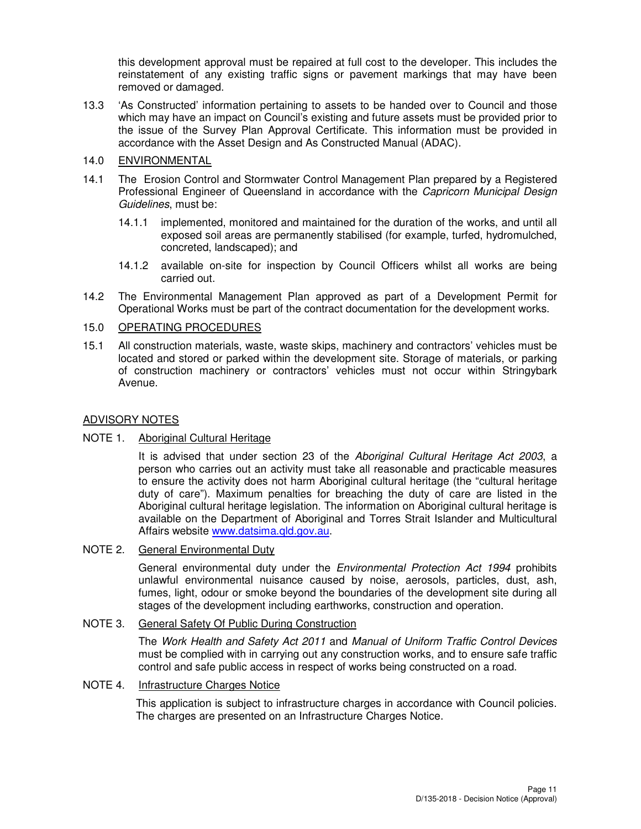this development approval must be repaired at full cost to the developer. This includes the reinstatement of any existing traffic signs or pavement markings that may have been removed or damaged.

- 13.3 'As Constructed' information pertaining to assets to be handed over to Council and those which may have an impact on Council's existing and future assets must be provided prior to the issue of the Survey Plan Approval Certificate. This information must be provided in accordance with the Asset Design and As Constructed Manual (ADAC).
- 14.0 ENVIRONMENTAL
- 14.1 The Erosion Control and Stormwater Control Management Plan prepared by a Registered Professional Engineer of Queensland in accordance with the Capricorn Municipal Design Guidelines, must be:
	- 14.1.1 implemented, monitored and maintained for the duration of the works, and until all exposed soil areas are permanently stabilised (for example, turfed, hydromulched, concreted, landscaped); and
	- 14.1.2 available on-site for inspection by Council Officers whilst all works are being carried out.
- 14.2 The Environmental Management Plan approved as part of a Development Permit for Operational Works must be part of the contract documentation for the development works.

## 15.0 OPERATING PROCEDURES

15.1 All construction materials, waste, waste skips, machinery and contractors' vehicles must be located and stored or parked within the development site. Storage of materials, or parking of construction machinery or contractors' vehicles must not occur within Stringybark Avenue.

## ADVISORY NOTES

## NOTE 1. Aboriginal Cultural Heritage

It is advised that under section 23 of the Aboriginal Cultural Heritage Act 2003, a person who carries out an activity must take all reasonable and practicable measures to ensure the activity does not harm Aboriginal cultural heritage (the "cultural heritage duty of care"). Maximum penalties for breaching the duty of care are listed in the Aboriginal cultural heritage legislation. The information on Aboriginal cultural heritage is available on the Department of Aboriginal and Torres Strait Islander and Multicultural Affairs website www.datsima.qld.gov.au.

## NOTE 2. General Environmental Duty

General environmental duty under the *Environmental Protection Act 1994* prohibits unlawful environmental nuisance caused by noise, aerosols, particles, dust, ash, fumes, light, odour or smoke beyond the boundaries of the development site during all stages of the development including earthworks, construction and operation.

## NOTE 3. General Safety Of Public During Construction

The Work Health and Safety Act 2011 and Manual of Uniform Traffic Control Devices must be complied with in carrying out any construction works, and to ensure safe traffic control and safe public access in respect of works being constructed on a road.

## NOTE 4. Infrastructure Charges Notice

This application is subject to infrastructure charges in accordance with Council policies. The charges are presented on an Infrastructure Charges Notice.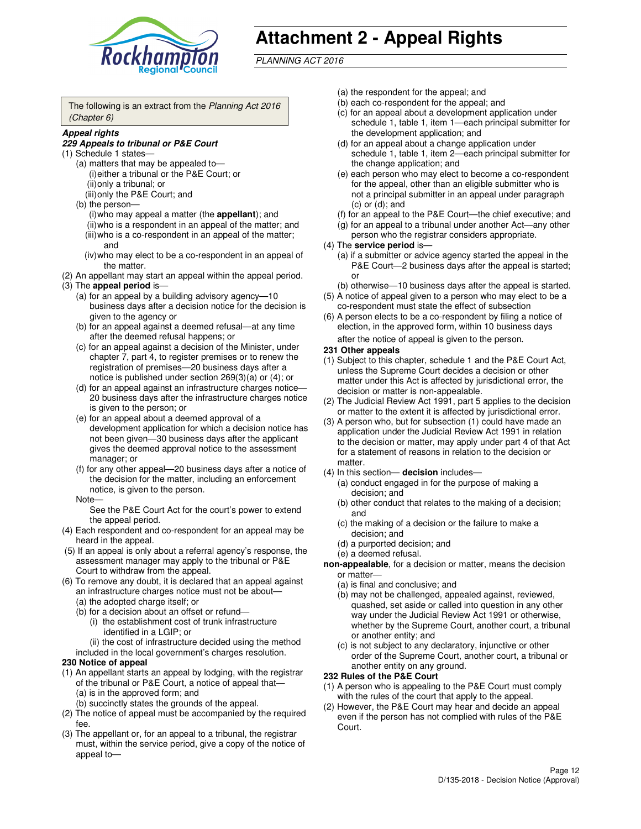

# **Attachment 2 - Appeal Rights**

PLANNING ACT 2016

The following is an extract from the Planning Act 2016 (Chapter 6)

#### **Appeal rights**

#### **229 Appeals to tribunal or P&E Court**

- (1) Schedule 1 states—
	- (a) matters that may be appealed to— (i) either a tribunal or the P&E Court; or (ii) only a tribunal; or (iii) only the P&E Court; and
	- (b) the person—
		- (i) who may appeal a matter (the **appellant**); and
		- (ii) who is a respondent in an appeal of the matter; and (iii) who is a co-respondent in an appeal of the matter;
		- and (iv) who may elect to be a co-respondent in an appeal of the matter.
- (2) An appellant may start an appeal within the appeal period.
- (3) The **appeal period** is—
	- (a) for an appeal by a building advisory agency—10 business days after a decision notice for the decision is given to the agency or
	- (b) for an appeal against a deemed refusal—at any time after the deemed refusal happens; or
	- (c) for an appeal against a decision of the Minister, under chapter 7, part 4, to register premises or to renew the registration of premises—20 business days after a notice is published under section 269(3)(a) or (4); or
	- (d) for an appeal against an infrastructure charges notice— 20 business days after the infrastructure charges notice is given to the person; or
	- (e) for an appeal about a deemed approval of a development application for which a decision notice has not been given—30 business days after the applicant gives the deemed approval notice to the assessment manager; or
	- (f) for any other appeal—20 business days after a notice of the decision for the matter, including an enforcement notice, is given to the person.
	- Note—

See the P&E Court Act for the court's power to extend the appeal period.

- (4) Each respondent and co-respondent for an appeal may be heard in the appeal.
- (5) If an appeal is only about a referral agency's response, the assessment manager may apply to the tribunal or P&E Court to withdraw from the appeal.
- (6) To remove any doubt, it is declared that an appeal against an infrastructure charges notice must not be about—
	- (a) the adopted charge itself; or
	- (b) for a decision about an offset or refund—
		- (i) the establishment cost of trunk infrastructure identified in a LGIP; or

(ii) the cost of infrastructure decided using the method

- included in the local government's charges resolution. **230 Notice of appeal**
- (1) An appellant starts an appeal by lodging, with the registrar of the tribunal or P&E Court, a notice of appeal that—
	- (a) is in the approved form; and
	- (b) succinctly states the grounds of the appeal.
- (2) The notice of appeal must be accompanied by the required fee.
- (3) The appellant or, for an appeal to a tribunal, the registrar must, within the service period, give a copy of the notice of appeal to—
- (a) the respondent for the appeal; and
- (b) each co-respondent for the appeal; and
- (c) for an appeal about a development application under schedule 1, table 1, item 1—each principal submitter for the development application; and
- (d) for an appeal about a change application under schedule 1, table 1, item 2—each principal submitter for the change application; and
- (e) each person who may elect to become a co-respondent for the appeal, other than an eligible submitter who is not a principal submitter in an appeal under paragraph  $(c)$  or  $(d)$ ; and
- (f) for an appeal to the P&E Court—the chief executive; and
- (g) for an appeal to a tribunal under another Act—any other person who the registrar considers appropriate.
- (4) The **service period** is—
	- (a) if a submitter or advice agency started the appeal in the P&E Court—2 business days after the appeal is started; or
	- (b) otherwise—10 business days after the appeal is started.
- (5) A notice of appeal given to a person who may elect to be a co-respondent must state the effect of subsection
- (6) A person elects to be a co-respondent by filing a notice of election, in the approved form, within 10 business days after the notice of appeal is given to the person*.*
- **231 Other appeals**
- (1) Subject to this chapter, schedule 1 and the P&E Court Act, unless the Supreme Court decides a decision or other matter under this Act is affected by jurisdictional error, the decision or matter is non-appealable.
- (2) The Judicial Review Act 1991, part 5 applies to the decision or matter to the extent it is affected by jurisdictional error.
- (3) A person who, but for subsection (1) could have made an application under the Judicial Review Act 1991 in relation to the decision or matter, may apply under part 4 of that Act for a statement of reasons in relation to the decision or matter.
- (4) In this section— **decision** includes—
	- (a) conduct engaged in for the purpose of making a decision; and
	- (b) other conduct that relates to the making of a decision; and
	- (c) the making of a decision or the failure to make a decision; and
	- (d) a purported decision; and
	- (e) a deemed refusal.

**non-appealable**, for a decision or matter, means the decision or matter—

- (a) is final and conclusive; and
- (b) may not be challenged, appealed against, reviewed, quashed, set aside or called into question in any other way under the Judicial Review Act 1991 or otherwise, whether by the Supreme Court, another court, a tribunal or another entity; and
- (c) is not subject to any declaratory, injunctive or other order of the Supreme Court, another court, a tribunal or another entity on any ground.

#### **232 Rules of the P&E Court**

- (1) A person who is appealing to the P&E Court must comply with the rules of the court that apply to the appeal.
- (2) However, the P&E Court may hear and decide an appeal even if the person has not complied with rules of the P&E Court.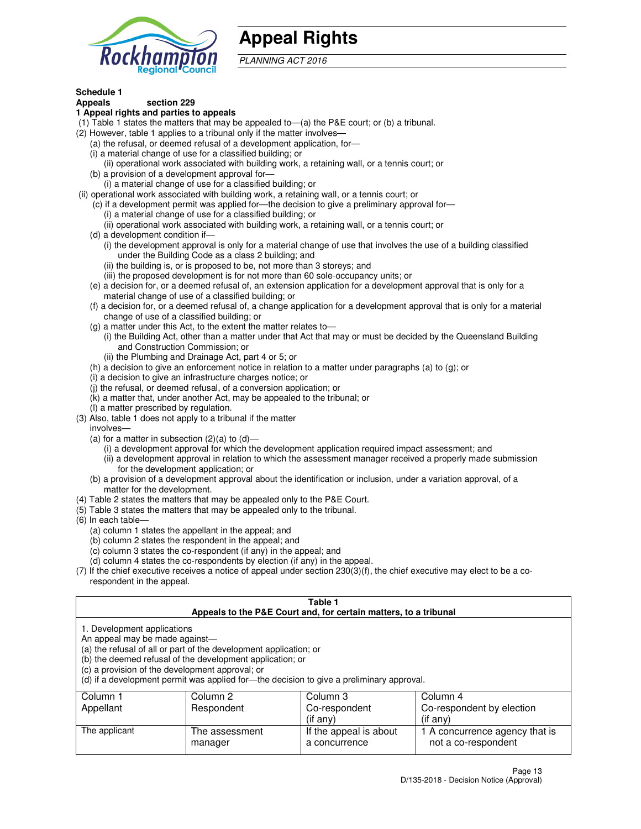

## **Appeal Rights**

PLANNING ACT 2016

## **Schedule 1**

## **Appeals section 229**

#### **1 Appeal rights and parties to appeals**

- (1) Table 1 states the matters that may be appealed to—(a) the P&E court; or (b) a tribunal.
- (2) However, table 1 applies to a tribunal only if the matter involves—
	- (a) the refusal, or deemed refusal of a development application, for—
	- (i) a material change of use for a classified building; or
	- (ii) operational work associated with building work, a retaining wall, or a tennis court; or
	- (b) a provision of a development approval for—
	- (i) a material change of use for a classified building; or
- (ii) operational work associated with building work, a retaining wall, or a tennis court; or
	- (c) if a development permit was applied for—the decision to give a preliminary approval for—
		- (i) a material change of use for a classified building; or
		- (ii) operational work associated with building work, a retaining wall, or a tennis court; or
	- (d) a development condition if—
		- (i) the development approval is only for a material change of use that involves the use of a building classified under the Building Code as a class 2 building; and
		- (ii) the building is, or is proposed to be, not more than 3 storeys; and
		- (iii) the proposed development is for not more than 60 sole-occupancy units; or
	- (e) a decision for, or a deemed refusal of, an extension application for a development approval that is only for a material change of use of a classified building; or
	- (f) a decision for, or a deemed refusal of, a change application for a development approval that is only for a material change of use of a classified building; or
	- (g) a matter under this Act, to the extent the matter relates to—
		- (i) the Building Act, other than a matter under that Act that may or must be decided by the Queensland Building and Construction Commission; or
		- (ii) the Plumbing and Drainage Act, part 4 or 5; or
	- (h) a decision to give an enforcement notice in relation to a matter under paragraphs (a) to (g); or
	- (i) a decision to give an infrastructure charges notice; or
	- (j) the refusal, or deemed refusal, of a conversion application; or
	- (k) a matter that, under another Act, may be appealed to the tribunal; or
	- (l) a matter prescribed by regulation.
- (3) Also, table 1 does not apply to a tribunal if the matter
	- involves—
	- (a) for a matter in subsection  $(2)(a)$  to  $(d)$ 
		- (i) a development approval for which the development application required impact assessment; and
		- (ii) a development approval in relation to which the assessment manager received a properly made submission for the development application; or
	- (b) a provision of a development approval about the identification or inclusion, under a variation approval, of a matter for the development.
- (4) Table 2 states the matters that may be appealed only to the P&E Court.
- (5) Table 3 states the matters that may be appealed only to the tribunal.
- (6) In each table—
	- (a) column 1 states the appellant in the appeal; and
	- (b) column 2 states the respondent in the appeal; and
	- (c) column 3 states the co-respondent (if any) in the appeal; and
	- (d) column 4 states the co-respondents by election (if any) in the appeal.
- (7) If the chief executive receives a notice of appeal under section 230(3)(f), the chief executive may elect to be a corespondent in the appeal.

| Table 1<br>Appeals to the P&E Court and, for certain matters, to a tribunal                                                                                                                                                                                                                                                                    |                           |                                             |                                                         |  |
|------------------------------------------------------------------------------------------------------------------------------------------------------------------------------------------------------------------------------------------------------------------------------------------------------------------------------------------------|---------------------------|---------------------------------------------|---------------------------------------------------------|--|
| 1. Development applications<br>An appeal may be made against-<br>(a) the refusal of all or part of the development application; or<br>(b) the deemed refusal of the development application; or<br>(c) a provision of the development approval; or<br>(d) if a development permit was applied for—the decision to give a preliminary approval. |                           |                                             |                                                         |  |
| Column 1<br>Appellant                                                                                                                                                                                                                                                                                                                          | Column 2<br>Respondent    | Column 3<br>Co-respondent<br>$($ if any $)$ | Column 4<br>Co-respondent by election<br>$($ if any $)$ |  |
| The applicant                                                                                                                                                                                                                                                                                                                                  | The assessment<br>manager | If the appeal is about<br>a concurrence     | 1 A concurrence agency that is<br>not a co-respondent   |  |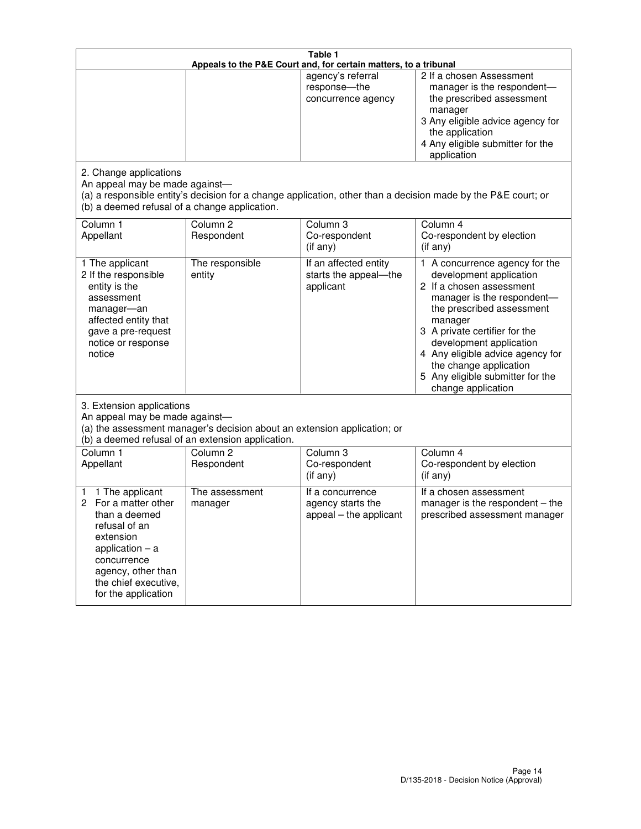| Table 1<br>Appeals to the P&E Court and, for certain matters, to a tribunal                                                                                                                             |                                   |                                                                 |                                                                                                                                                                                                                                                                                                                                                 |  |
|---------------------------------------------------------------------------------------------------------------------------------------------------------------------------------------------------------|-----------------------------------|-----------------------------------------------------------------|-------------------------------------------------------------------------------------------------------------------------------------------------------------------------------------------------------------------------------------------------------------------------------------------------------------------------------------------------|--|
|                                                                                                                                                                                                         |                                   | agency's referral<br>response-the<br>concurrence agency         | 2 If a chosen Assessment<br>manager is the respondent-<br>the prescribed assessment<br>manager<br>3 Any eligible advice agency for<br>the application<br>4 Any eligible submitter for the<br>application                                                                                                                                        |  |
| 2. Change applications<br>An appeal may be made against-<br>(b) a deemed refusal of a change application.                                                                                               |                                   |                                                                 | (a) a responsible entity's decision for a change application, other than a decision made by the P&E court; or                                                                                                                                                                                                                                   |  |
| Column 1<br>Appellant                                                                                                                                                                                   | Column <sub>2</sub><br>Respondent | Column <sub>3</sub><br>Co-respondent<br>(if any)                | Column 4<br>Co-respondent by election<br>(if any)                                                                                                                                                                                                                                                                                               |  |
| 1 The applicant<br>2 If the responsible<br>entity is the<br>assessment<br>manager-an<br>affected entity that<br>gave a pre-request<br>notice or response<br>notice                                      | The responsible<br>entity         | If an affected entity<br>starts the appeal-the<br>applicant     | 1 A concurrence agency for the<br>development application<br>2 If a chosen assessment<br>manager is the respondent-<br>the prescribed assessment<br>manager<br>3 A private certifier for the<br>development application<br>4 Any eligible advice agency for<br>the change application<br>5 Any eligible submitter for the<br>change application |  |
| 3. Extension applications<br>An appeal may be made against-<br>(a) the assessment manager's decision about an extension application; or<br>(b) a deemed refusal of an extension application.            |                                   |                                                                 |                                                                                                                                                                                                                                                                                                                                                 |  |
| Column 1<br>Appellant                                                                                                                                                                                   | Column <sub>2</sub><br>Respondent | Column 3<br>Co-respondent<br>(if any)                           | Column 4<br>Co-respondent by election<br>(if any)                                                                                                                                                                                                                                                                                               |  |
| 1 The applicant<br>1<br>For a matter other<br>2<br>than a deemed<br>refusal of an<br>extension<br>application $-$ a<br>concurrence<br>agency, other than<br>the chief executive,<br>for the application | The assessment<br>manager         | If a concurrence<br>agency starts the<br>appeal - the applicant | If a chosen assessment<br>manager is the respondent – the<br>prescribed assessment manager                                                                                                                                                                                                                                                      |  |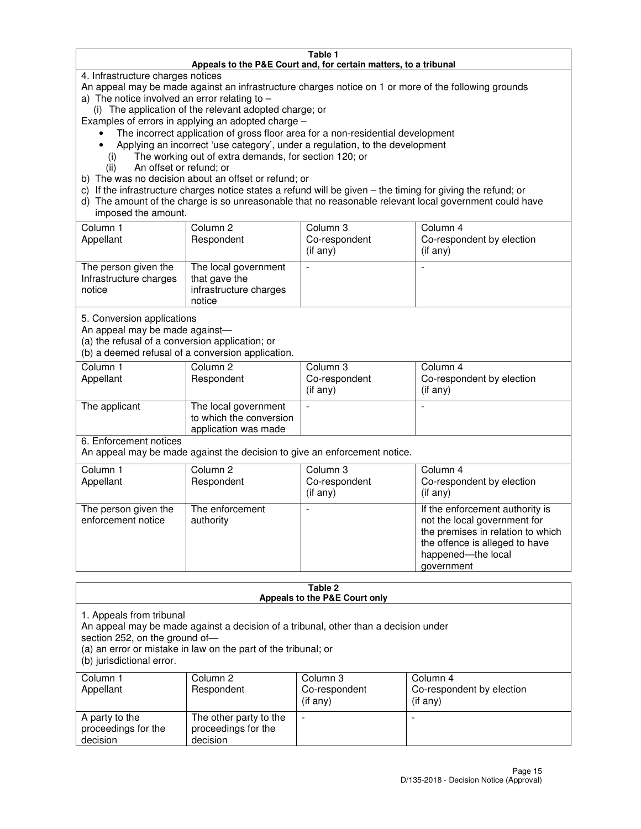#### **Table 1 Appeals to the P&E Court and, for certain matters, to a tribunal**

4. Infrastructure charges notices

An appeal may be made against an infrastructure charges notice on 1 or more of the following grounds

- a) The notice involved an error relating to
	- (i) The application of the relevant adopted charge; or

Examples of errors in applying an adopted charge –

- The incorrect application of gross floor area for a non-residential development
- Applying an incorrect 'use category', under a regulation, to the development
	- (i) The working out of extra demands, for section 120; or
	- (ii) An offset or refund; or
- b) The was no decision about an offset or refund; or
- c) If the infrastructure charges notice states a refund will be given the timing for giving the refund; or
- d) The amount of the charge is so unreasonable that no reasonable relevant local government could have imposed the amount.

| Column 1<br>Appellant                                    | Column 2<br>Respondent                                                    | Column 3<br>Co-respondent<br>$($ if any $)$ | Column 4<br>Co-respondent by election<br>$($ if any $)$ |
|----------------------------------------------------------|---------------------------------------------------------------------------|---------------------------------------------|---------------------------------------------------------|
| The person given the<br>Infrastructure charges<br>notice | The local government<br>that gave the<br>infrastructure charges<br>notice |                                             |                                                         |

5. Conversion applications

An appeal may be made against—

(a) the refusal of a conversion application; or

(b) a deemed refusal of a conversion application.

| Column 1<br>Appellant | Column 2<br>Respondent                                                  | Column 3<br>Co-respondent<br>$($ if any $)$ | Column 4<br>Co-respondent by election<br>$($ if any $)$ |
|-----------------------|-------------------------------------------------------------------------|---------------------------------------------|---------------------------------------------------------|
| The applicant         | The local government<br>to which the conversion<br>application was made |                                             |                                                         |

6. Enforcement notices

An appeal may be made against the decision to give an enforcement notice.

| Column 1<br>Appellant                      | Column 2<br>Respondent       | Column 3<br>Co-respondent<br>$($ if any $)$ | Column 4<br>Co-respondent by election<br>(if any)                                                                                                                          |
|--------------------------------------------|------------------------------|---------------------------------------------|----------------------------------------------------------------------------------------------------------------------------------------------------------------------------|
| The person given the<br>enforcement notice | The enforcement<br>authority |                                             | If the enforcement authority is<br>not the local government for<br>the premises in relation to which<br>the offence is alleged to have<br>happened-the local<br>government |

#### **Table 2 Appeals to the P&E Court only**

1. Appeals from tribunal

An appeal may be made against a decision of a tribunal, other than a decision under

section 252, on the ground of—

(a) an error or mistake in law on the part of the tribunal; or

(b) jurisdictional error.

| Column 1<br>Appellant                             | Column 2<br>Respondent                                    | Column 3<br>Co-respondent<br>(if any) | Column 4<br>Co-respondent by election<br>(if any) |
|---------------------------------------------------|-----------------------------------------------------------|---------------------------------------|---------------------------------------------------|
| A party to the<br>proceedings for the<br>decision | The other party to the<br>proceedings for the<br>decision | $\overline{\phantom{a}}$              |                                                   |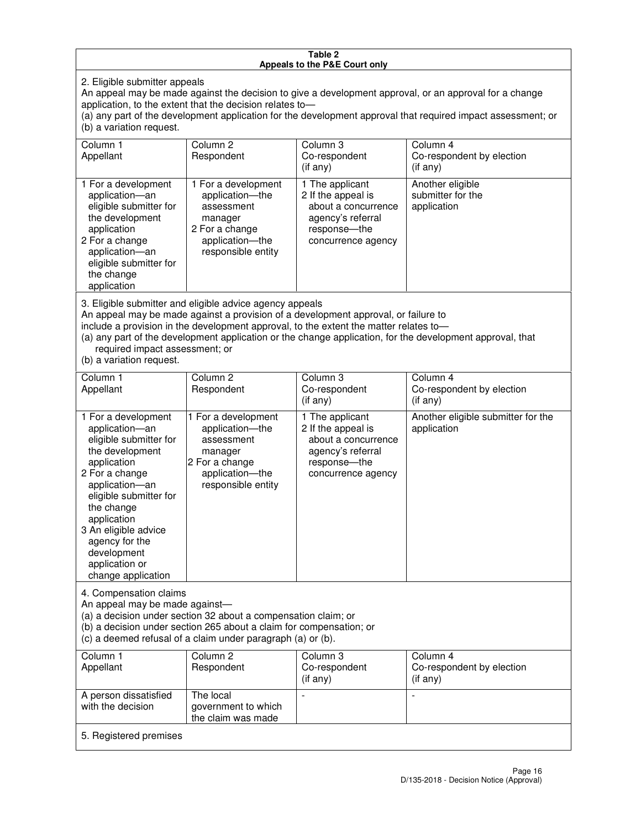#### **Table 2 Appeals to the P&E Court only**

2. Eligible submitter appeals

An appeal may be made against the decision to give a development approval, or an approval for a change application, to the extent that the decision relates to—

(a) any part of the development application for the development approval that required impact assessment; or (b) a variation request.

| Column 1<br>Appellant                                                                                                                                                                                                                                                                                                                                                                                              | Column 2<br>Respondent                                                                                                     | Column 3<br>Co-respondent<br>$($ if any $)$                                                                               | Column 4<br>Co-respondent by election<br>(i f any)   |
|--------------------------------------------------------------------------------------------------------------------------------------------------------------------------------------------------------------------------------------------------------------------------------------------------------------------------------------------------------------------------------------------------------------------|----------------------------------------------------------------------------------------------------------------------------|---------------------------------------------------------------------------------------------------------------------------|------------------------------------------------------|
| 1 For a development<br>application-an<br>eligible submitter for<br>the development<br>application<br>2 For a change<br>application-an<br>eligible submitter for<br>the change<br>application                                                                                                                                                                                                                       | 1 For a development<br>application-the<br>assessment<br>manager<br>2 For a change<br>application-the<br>responsible entity | 1 The applicant<br>2 If the appeal is<br>about a concurrence<br>agency's referral<br>response---the<br>concurrence agency | Another eligible<br>submitter for the<br>application |
| 3. Eligible submitter and eligible advice agency appeals<br>An appeal may be made against a provision of a development approval, or failure to<br>include a provision in the development approval, to the extent the matter relates to-<br>(a) any part of the development application or the change application, for the development approval, that<br>required impact assessment; or<br>(b) a variation request. |                                                                                                                            |                                                                                                                           |                                                      |
| Column <sub>1</sub>                                                                                                                                                                                                                                                                                                                                                                                                | Column <sub>2</sub>                                                                                                        | Column 3                                                                                                                  | Column 4                                             |
| Appellant                                                                                                                                                                                                                                                                                                                                                                                                          | Respondent                                                                                                                 | Co-respondent<br>(if any)                                                                                                 | Co-respondent by election<br>(i f any)               |
| 1 For a development<br>application-an<br>eligible submitter for<br>the development<br>application                                                                                                                                                                                                                                                                                                                  | 1 For a development<br>application-the<br>assessment<br>manager<br>2 For a change                                          | 1 The applicant<br>2 If the appeal is<br>about a concurrence<br>agency's referral<br>response---the                       | Another eligible submitter for the<br>application    |

concurrence agency

agency for the development application or change application 4. Compensation claims

An appeal may be made against—

2 For a change application—an eligible submitter for

the change application 3 An eligible advice

(a) a decision under section 32 about a compensation claim; or

(b) a decision under section 265 about a claim for compensation; or

application—the responsible entity

(c) a deemed refusal of a claim under paragraph (a) or (b).

| Column 1<br>Appellant                      | Column 2<br>Respondent                                 | Column 3<br>Co-respondent<br>(if any) | Column 4<br>Co-respondent by election<br>(if any) |
|--------------------------------------------|--------------------------------------------------------|---------------------------------------|---------------------------------------------------|
| A person dissatisfied<br>with the decision | The local<br>government to which<br>the claim was made |                                       |                                                   |
| 5. Registered premises                     |                                                        |                                       |                                                   |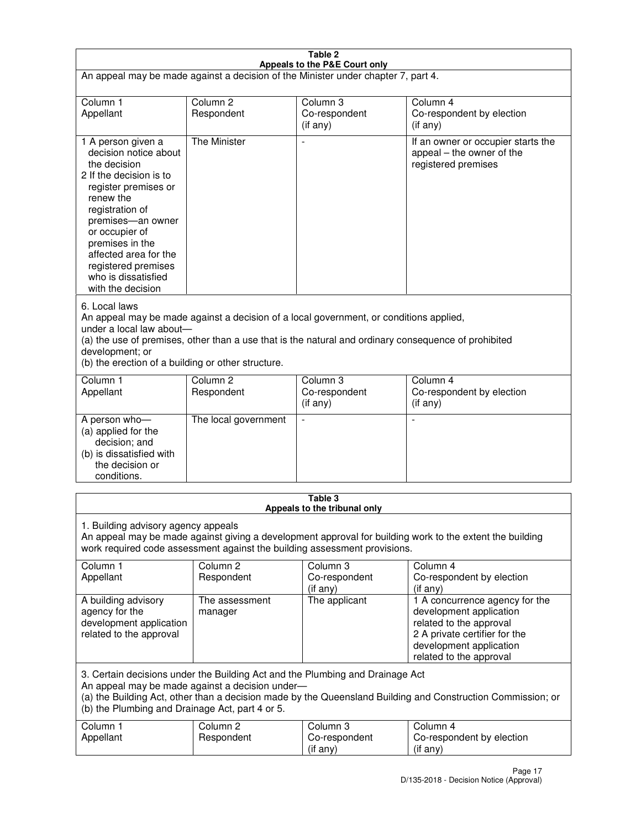| Table 2                                                                                                                                                                                                                                                                                                              |                                   |                                         |                                                                                                                                                                             |  |
|----------------------------------------------------------------------------------------------------------------------------------------------------------------------------------------------------------------------------------------------------------------------------------------------------------------------|-----------------------------------|-----------------------------------------|-----------------------------------------------------------------------------------------------------------------------------------------------------------------------------|--|
| Appeals to the P&E Court only<br>An appeal may be made against a decision of the Minister under chapter 7, part 4.                                                                                                                                                                                                   |                                   |                                         |                                                                                                                                                                             |  |
| Column 1                                                                                                                                                                                                                                                                                                             | Column <sub>2</sub>               | Column <sub>3</sub>                     | Column 4                                                                                                                                                                    |  |
| Appellant                                                                                                                                                                                                                                                                                                            | Respondent                        | Co-respondent<br>(if any)               | Co-respondent by election<br>(if any)                                                                                                                                       |  |
| 1 A person given a<br>decision notice about<br>the decision<br>2 If the decision is to<br>register premises or<br>renew the<br>registration of<br>premises-an owner<br>or occupier of<br>premises in the<br>affected area for the<br>registered premises<br>who is dissatisfied<br>with the decision                 | <b>The Minister</b>               | ÷,                                      | If an owner or occupier starts the<br>appeal – the owner of the<br>registered premises                                                                                      |  |
| 6. Local laws<br>An appeal may be made against a decision of a local government, or conditions applied,<br>under a local law about-<br>(a) the use of premises, other than a use that is the natural and ordinary consequence of prohibited<br>development; or<br>(b) the erection of a building or other structure. |                                   |                                         |                                                                                                                                                                             |  |
| Column 1<br>Appellant                                                                                                                                                                                                                                                                                                | Column 2<br>Respondent            | Column 3<br>Co-respondent<br>(if any)   | Column 4<br>Co-respondent by election<br>(if any)                                                                                                                           |  |
| A person who-<br>(a) applied for the<br>decision; and<br>(b) is dissatisfied with<br>the decision or<br>conditions.                                                                                                                                                                                                  | The local government              |                                         |                                                                                                                                                                             |  |
|                                                                                                                                                                                                                                                                                                                      |                                   | Table 3<br>Appeals to the tribunal only |                                                                                                                                                                             |  |
| 1. Building advisory agency appeals<br>An appeal may be made against giving a development approval for building work to the extent the building<br>work required code assessment against the building assessment provisions.                                                                                         |                                   |                                         |                                                                                                                                                                             |  |
| Column 1<br>Appellant                                                                                                                                                                                                                                                                                                | Column <sub>2</sub><br>Respondent | Column 3<br>Co-respondent<br>(if any)   | Column 4<br>Co-respondent by election<br>(if any)                                                                                                                           |  |
| A building advisory<br>agency for the<br>development application<br>related to the approval                                                                                                                                                                                                                          | The assessment<br>manager         | The applicant                           | 1 A concurrence agency for the<br>development application<br>related to the approval<br>2 A private certifier for the<br>development application<br>related to the approval |  |
| 3. Certain decisions under the Building Act and the Plumbing and Drainage Act<br>An appeal may be made against a decision under-<br>(a) the Building Act, other than a decision made by the Queensland Building and Construction Commission; or<br>(b) the Plumbing and Drainage Act, part 4 or 5.                   |                                   |                                         |                                                                                                                                                                             |  |
| Column 1<br>Appellant                                                                                                                                                                                                                                                                                                | Column <sub>2</sub><br>Respondent | Column 3<br>Co-respondent<br>(if any)   | Column 4<br>Co-respondent by election<br>(if any)                                                                                                                           |  |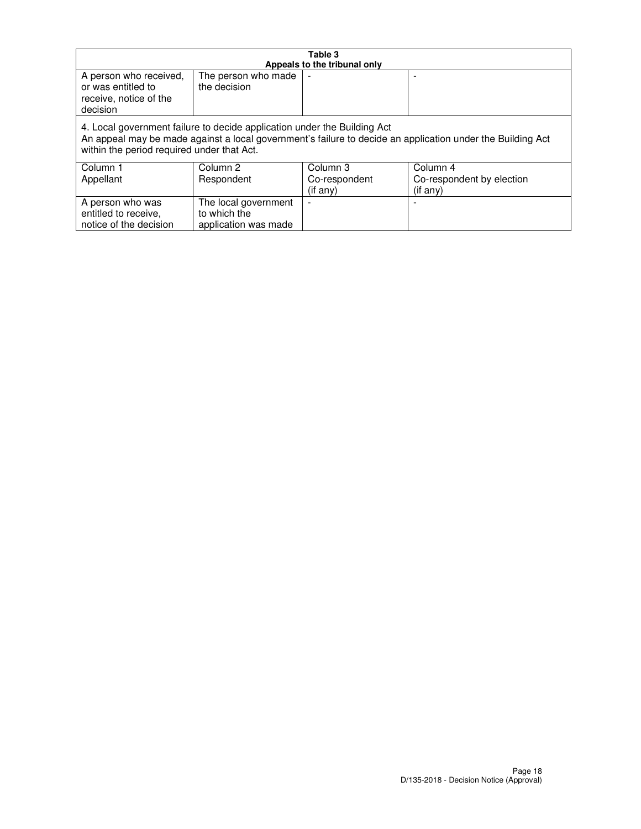| Table 3<br>Appeals to the tribunal only                                                                                                                                                                                              |                                                              |                |                           |  |
|--------------------------------------------------------------------------------------------------------------------------------------------------------------------------------------------------------------------------------------|--------------------------------------------------------------|----------------|---------------------------|--|
| A person who received,<br>or was entitled to<br>receive, notice of the<br>decision                                                                                                                                                   | The person who made<br>the decision                          | $\blacksquare$ |                           |  |
| 4. Local government failure to decide application under the Building Act<br>An appeal may be made against a local government's failure to decide an application under the Building Act<br>within the period required under that Act. |                                                              |                |                           |  |
| Column 1                                                                                                                                                                                                                             | Column 2                                                     | Column 3       | Column 4                  |  |
| Appellant                                                                                                                                                                                                                            | Respondent                                                   | Co-respondent  | Co-respondent by election |  |
|                                                                                                                                                                                                                                      |                                                              | $(i$ f any $)$ | $($ if any $)$            |  |
| A person who was<br>entitled to receive,<br>notice of the decision                                                                                                                                                                   | The local government<br>to which the<br>application was made |                |                           |  |